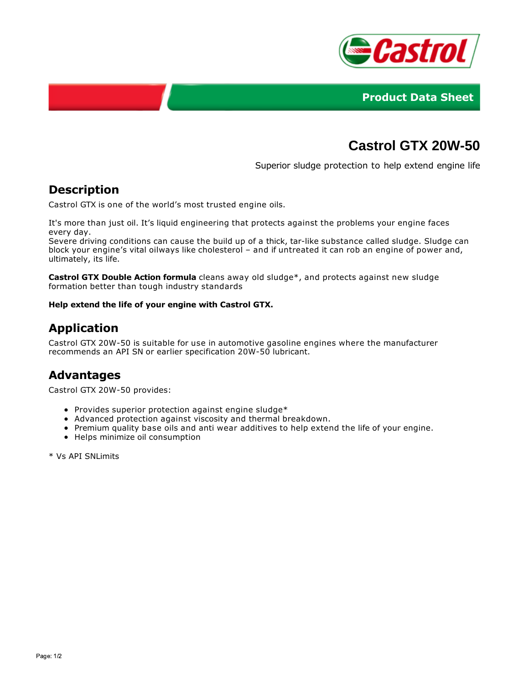



# **Castrol GTX 20W-50**

Superior sludge protection to help extend engine life

#### **Description**

Castrol GTX is one of the world's most trusted engine oils.

It's more than just oil. It's liquid engineering that protects against the problems your engine faces every day.

Severe driving conditions can cause the build up of a thick, tar-like substance called sludge. Sludge can block your engine's vital oilways like cholesterol – and if untreated it can rob an engine of power and, ultimately, its life.

**Castrol GTX Double Action formula** cleans away old sludge\*, and protects against new sludge formation better than tough industry standards

#### **Help extend the life of your engine with Castrol GTX.**

## **Application**

Castrol GTX 20W-50 is suitable for use in automotive gasoline engines where the manufacturer recommends an API SN or earlier specification 20W-50 lubricant.

### **Advantages**

Castrol GTX 20W-50 provides:

- Provides superior protection against engine sludge\*
- Advanced protection against viscosity and thermal breakdown.
- Premium quality base oils and anti wear additives to help extend the life of your engine.
- Helps minimize oil consumption

\* Vs API SNLimits